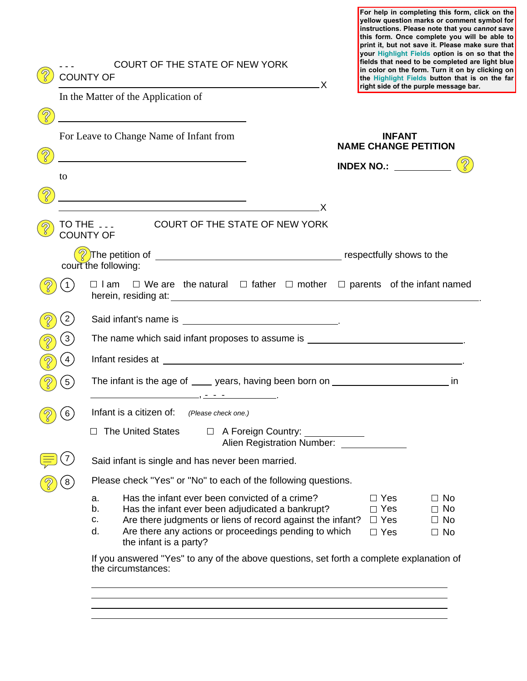**For help in completing this form, click on the yellow question marks or comment symbol for instructions. Please note that you** *cannot* **save this form. Once complete you will be able to print it, but not save it. Please make sure that your Highlight Fields option is on so that the fields that need to be completed are light blue licking on on the far** 

|                                | COURT OF THE STATE OF NEW YORK<br><b>COUNTY OF</b><br><u> X</u> |                                                                                                                                                                                                                                                                             | fields that need to be completed are<br>in color on the form. Turn it on by cl<br>the Highlight Fields button that is o<br>right side of the purple message bar. |  |
|--------------------------------|-----------------------------------------------------------------|-----------------------------------------------------------------------------------------------------------------------------------------------------------------------------------------------------------------------------------------------------------------------------|------------------------------------------------------------------------------------------------------------------------------------------------------------------|--|
|                                |                                                                 | In the Matter of the Application of                                                                                                                                                                                                                                         |                                                                                                                                                                  |  |
| $\mathcal{D}$<br>$\mathcal{D}$ |                                                                 | <u> 1989 - Johann Barbara, martxa alemaniar amerikan personal (h. 1989).</u><br>For Leave to Change Name of Infant from                                                                                                                                                     | <b>INFANT</b><br><b>NAME CHANGE PETITION</b>                                                                                                                     |  |
|                                | to                                                              | <u> 1989 - Johann Barbara, martin amerikan basar dan basar dan basar dalam basar dalam basar dalam basar dalam ba</u>                                                                                                                                                       | <b>INDEX NO.:</b> __________                                                                                                                                     |  |
|                                |                                                                 |                                                                                                                                                                                                                                                                             |                                                                                                                                                                  |  |
|                                |                                                                 | <u>x</u>                                                                                                                                                                                                                                                                    |                                                                                                                                                                  |  |
|                                |                                                                 | COURT OF THE STATE OF NEW YORK<br>TO THE <b>___</b><br><b>COUNTY OF</b>                                                                                                                                                                                                     |                                                                                                                                                                  |  |
|                                |                                                                 | court the following:                                                                                                                                                                                                                                                        |                                                                                                                                                                  |  |
|                                | $\overline{1}$                                                  | $\Box$ We are the natural $\Box$ father $\Box$ mother $\Box$ parents of the infant named<br>□ I am                                                                                                                                                                          |                                                                                                                                                                  |  |
|                                | $\left(2\right)$                                                |                                                                                                                                                                                                                                                                             |                                                                                                                                                                  |  |
|                                | $\mathbf{3}$                                                    | The name which said infant proposes to assume is _______________________________                                                                                                                                                                                            |                                                                                                                                                                  |  |
|                                | 4                                                               |                                                                                                                                                                                                                                                                             |                                                                                                                                                                  |  |
|                                | $\left(5\right)$                                                | The infant is the age of ____ years, having been born on ___________________________ in                                                                                                                                                                                     |                                                                                                                                                                  |  |
|                                | 6                                                               | Infant is a citizen of: (Please check one.)                                                                                                                                                                                                                                 |                                                                                                                                                                  |  |
|                                |                                                                 | □ The United States □ A Foreign Country: ___________<br>Alien Registration Number:                                                                                                                                                                                          |                                                                                                                                                                  |  |
|                                |                                                                 | Said infant is single and has never been married.                                                                                                                                                                                                                           |                                                                                                                                                                  |  |
|                                |                                                                 | Please check "Yes" or "No" to each of the following questions.                                                                                                                                                                                                              |                                                                                                                                                                  |  |
|                                |                                                                 | Has the infant ever been convicted of a crime?<br>а.<br>Has the infant ever been adjudicated a bankrupt?<br>b.<br>Are there judgments or liens of record against the infant?<br>C.<br>Are there any actions or proceedings pending to which<br>d.<br>the infant is a party? | $\Box$ Yes<br>$\Box$ No<br>$\Box$ Yes<br>$\Box$ No<br>$\Box$ Yes<br>$\Box$ No<br>$\Box$ Yes<br>$\Box$ No                                                         |  |
|                                |                                                                 | If you answered "Yes" to any of the above questions, set forth a complete explanation of<br>the circumstances:                                                                                                                                                              |                                                                                                                                                                  |  |
|                                |                                                                 |                                                                                                                                                                                                                                                                             |                                                                                                                                                                  |  |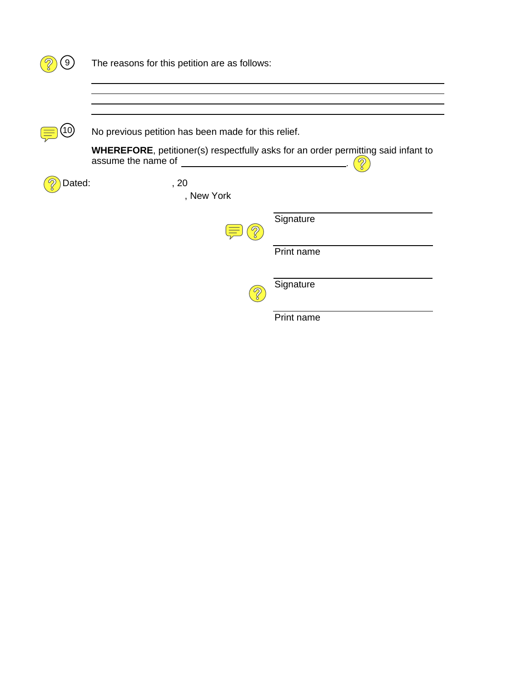| 9      | The reasons for this petition are as follows:                                                                                                                               |  |  |
|--------|-----------------------------------------------------------------------------------------------------------------------------------------------------------------------------|--|--|
|        |                                                                                                                                                                             |  |  |
|        |                                                                                                                                                                             |  |  |
|        | No previous petition has been made for this relief.                                                                                                                         |  |  |
|        | <b>WHEREFORE, petitioner(s) respectfully asks for an order permitting said infant to</b><br>assume the name of<br><u> 1989 - Johann Barbara, martxa a shekara 1989 - An</u> |  |  |
| Dated: | , 20<br>, New York                                                                                                                                                          |  |  |
|        | Signature                                                                                                                                                                   |  |  |
|        | Print name                                                                                                                                                                  |  |  |
|        | Signature                                                                                                                                                                   |  |  |
|        | Print name                                                                                                                                                                  |  |  |